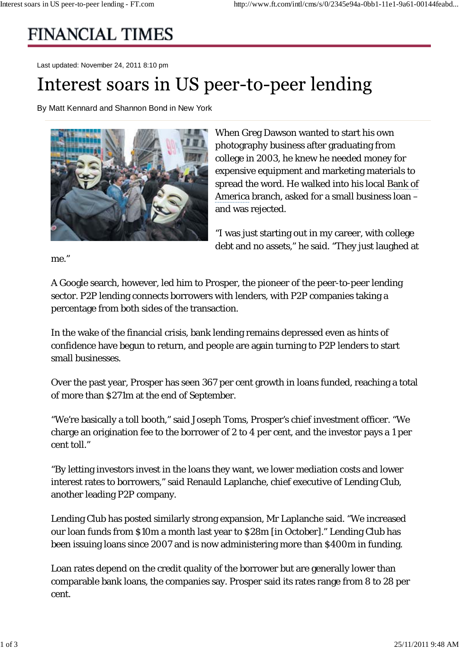## **FINANCIAL TIMES**

Last updated: November 24, 2011 8:10 pm

## Interest soars in US peer-to-peer lending

By Matt Kennard and Shannon Bond in New York



When Greg Dawson wanted to start his own photography business after graduating from college in 2003, he knew he needed money for expensive equipment and marketing materials to spread the word. He walked into his local Bank of America branch, asked for a small business loan – and was rejected.

"I was just starting out in my career, with college debt and no assets," he said. "They just laughed at

me."

A Google search, however, led him to Prosper, the pioneer of the peer-to-peer lending sector. P2P lending connects borrowers with lenders, with P2P companies taking a percentage from both sides of the transaction.

In the wake of the financial crisis, bank lending remains depressed even as hints of confidence have begun to return, and people are again turning to P2P lenders to start small businesses.

Over the past year, Prosper has seen 367 per cent growth in loans funded, reaching a total of more than \$271m at the end of September.

"We're basically a toll booth," said Joseph Toms, Prosper's chief investment officer. "We charge an origination fee to the borrower of 2 to 4 per cent, and the investor pays a 1 per cent toll."

"By letting investors invest in the loans they want, we lower mediation costs and lower interest rates to borrowers," said Renauld Laplanche, chief executive of Lending Club, another leading P2P company.

Lending Club has posted similarly strong expansion, Mr Laplanche said. "We increased our loan funds from \$10m a month last year to \$28m [in October]." Lending Club has been issuing loans since 2007 and is now administering more than \$400m in funding.

Loan rates depend on the credit quality of the borrower but are generally lower than comparable bank loans, the companies say. Prosper said its rates range from 8 to 28 per cent.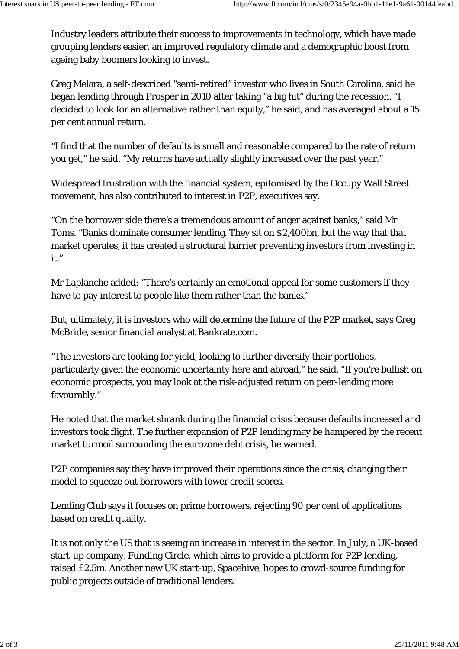Industry leaders attribute their success to improvements in technology, which have made grouping lenders easier, an improved regulatory climate and a demographic boost from ageing baby boomers looking to invest.

Greg Melara, a self-described "semi-retired" investor who lives in South Carolina, said he began lending through Prosper in 2010 after taking "a big hit" during the recession. "I decided to look for an alternative rather than equity," he said, and has averaged about a 15 per cent annual return.

"I find that the number of defaults is small and reasonable compared to the rate of return you get," he said. "My returns have actually slightly increased over the past year."

Widespread frustration with the financial system, epitomised by the Occupy Wall Street movement, has also contributed to interest in P2P, executives say.

"On the borrower side there's a tremendous amount of anger against banks," said Mr Toms. "Banks dominate consumer lending. They sit on \$2,400bn, but the way that that market operates, it has created a structural barrier preventing investors from investing in it."

Mr Laplanche added: "There's certainly an emotional appeal for some customers if they have to pay interest to people like them rather than the banks."

But, ultimately, it is investors who will determine the future of the P2P market, says Greg McBride, senior financial analyst at Bankrate.com.

"The investors are looking for yield, looking to further diversify their portfolios, particularly given the economic uncertainty here and abroad," he said. "If you're bullish on economic prospects, you may look at the risk-adjusted return on peer-lending more favourably."

He noted that the market shrank during the financial crisis because defaults increased and investors took flight. The further expansion of P2P lending may be hampered by the recent market turmoil surrounding the eurozone debt crisis, he warned.

P2P companies say they have improved their operations since the crisis, changing their model to squeeze out borrowers with lower credit scores.

Lending Club says it focuses on prime borrowers, rejecting 90 per cent of applications based on credit quality.

It is not only the US that is seeing an increase in interest in the sector. In July, a UK-based start-up company, Funding Circle, which aims to provide a platform for P2P lending, raised £2.5m. Another new UK start-up, Spacehive, hopes to crowd-source funding for public projects outside of traditional lenders.